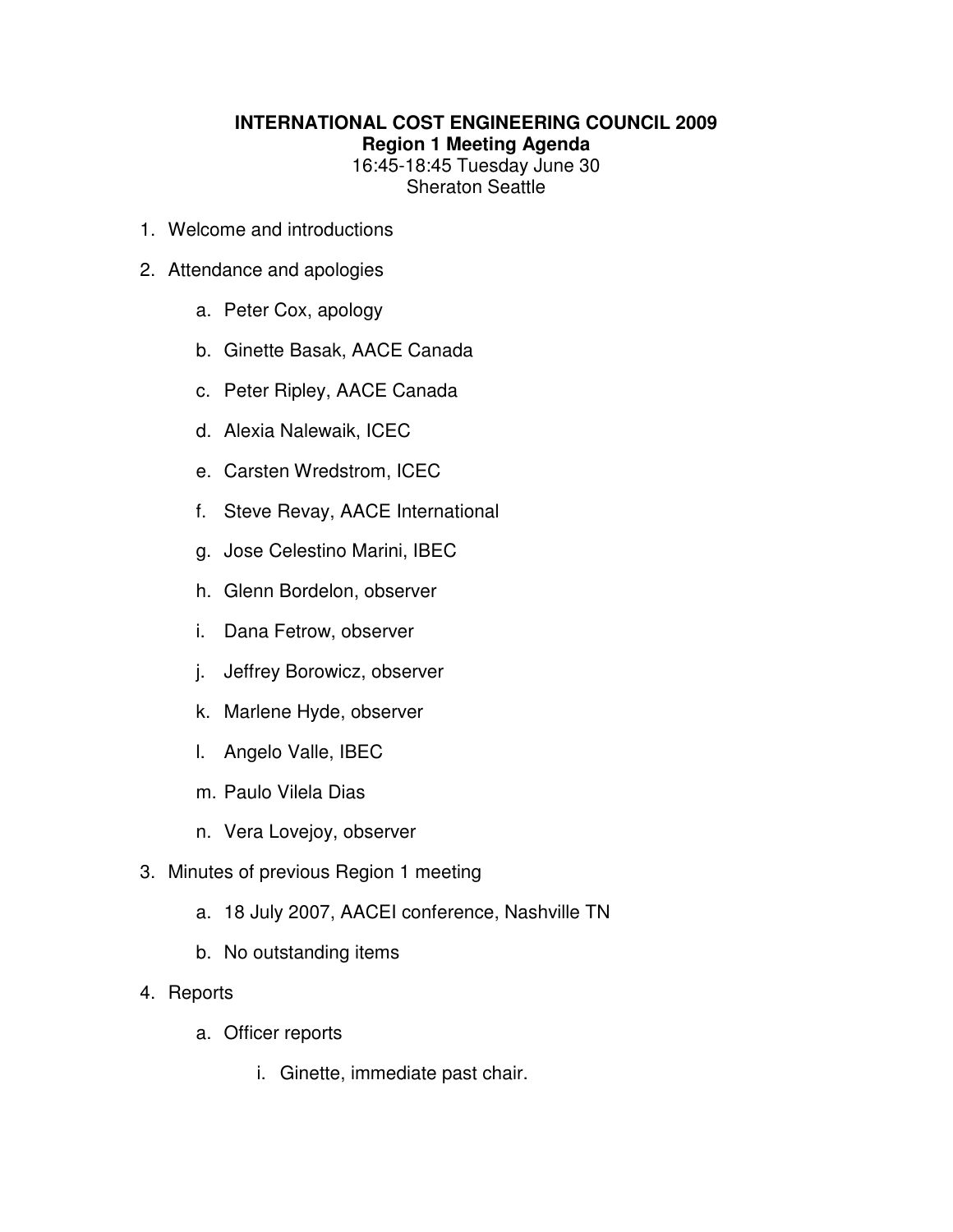## **INTERNATIONAL COST ENGINEERING COUNCIL 2009 Region 1 Meeting Agenda**  16:45-18:45 Tuesday June 30

Sheraton Seattle

- 1. Welcome and introductions
- 2. Attendance and apologies
	- a. Peter Cox, apology
	- b. Ginette Basak, AACE Canada
	- c. Peter Ripley, AACE Canada
	- d. Alexia Nalewaik, ICEC
	- e. Carsten Wredstrom, ICEC
	- f. Steve Revay, AACE International
	- g. Jose Celestino Marini, IBEC
	- h. Glenn Bordelon, observer
	- i. Dana Fetrow, observer
	- j. Jeffrey Borowicz, observer
	- k. Marlene Hyde, observer
	- l. Angelo Valle, IBEC
	- m. Paulo Vilela Dias
	- n. Vera Lovejoy, observer
- 3. Minutes of previous Region 1 meeting
	- a. 18 July 2007, AACEI conference, Nashville TN
	- b. No outstanding items
- 4. Reports
	- a. Officer reports
		- i. Ginette, immediate past chair.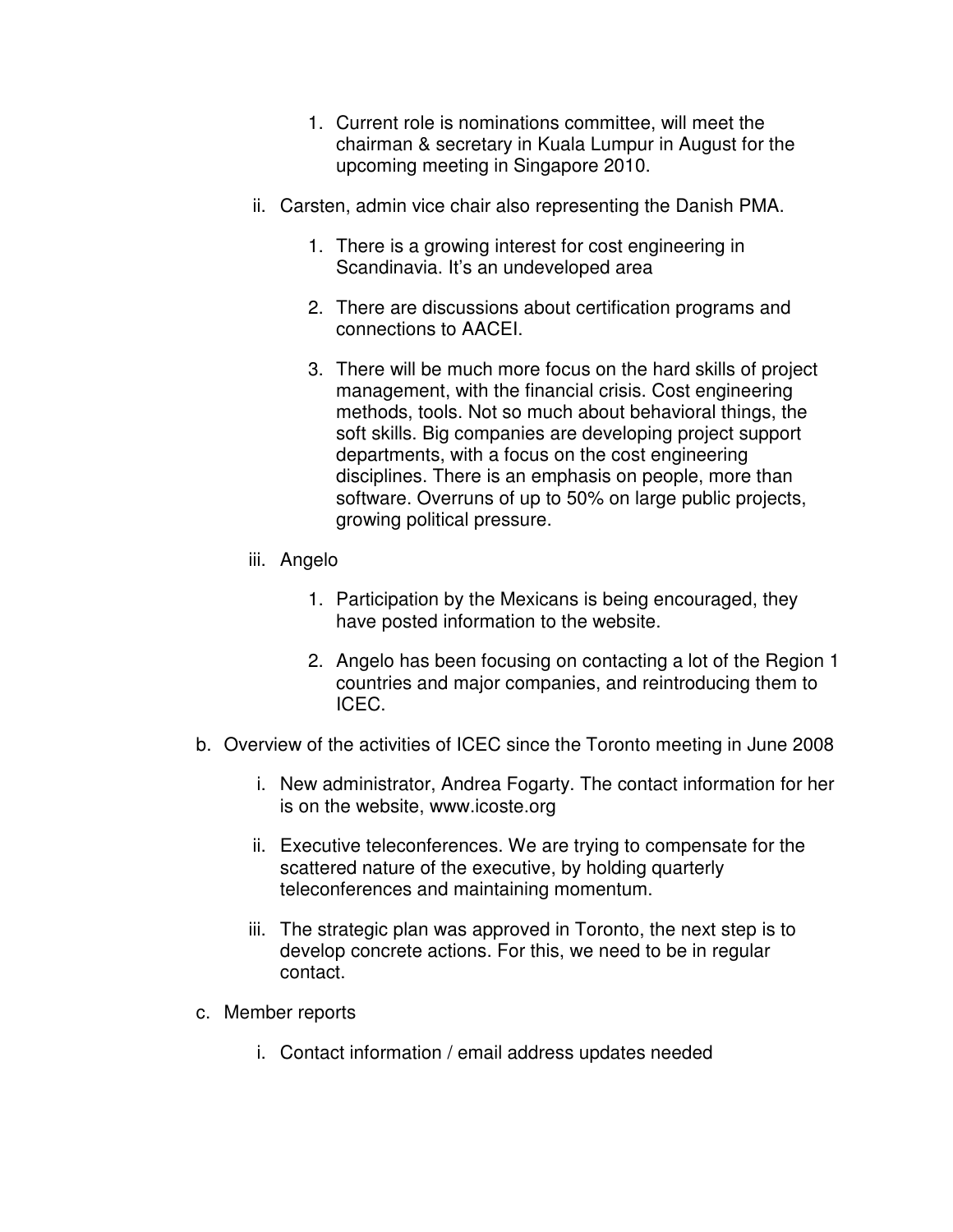- 1. Current role is nominations committee, will meet the chairman & secretary in Kuala Lumpur in August for the upcoming meeting in Singapore 2010.
- ii. Carsten, admin vice chair also representing the Danish PMA.
	- 1. There is a growing interest for cost engineering in Scandinavia. It's an undeveloped area
	- 2. There are discussions about certification programs and connections to AACEI.
	- 3. There will be much more focus on the hard skills of project management, with the financial crisis. Cost engineering methods, tools. Not so much about behavioral things, the soft skills. Big companies are developing project support departments, with a focus on the cost engineering disciplines. There is an emphasis on people, more than software. Overruns of up to 50% on large public projects, growing political pressure.
- iii. Angelo
	- 1. Participation by the Mexicans is being encouraged, they have posted information to the website.
	- 2. Angelo has been focusing on contacting a lot of the Region 1 countries and major companies, and reintroducing them to ICEC.
- b. Overview of the activities of ICEC since the Toronto meeting in June 2008
	- i. New administrator, Andrea Fogarty. The contact information for her is on the website, www.icoste.org
	- ii. Executive teleconferences. We are trying to compensate for the scattered nature of the executive, by holding quarterly teleconferences and maintaining momentum.
	- iii. The strategic plan was approved in Toronto, the next step is to develop concrete actions. For this, we need to be in regular contact.
- c. Member reports
	- i. Contact information / email address updates needed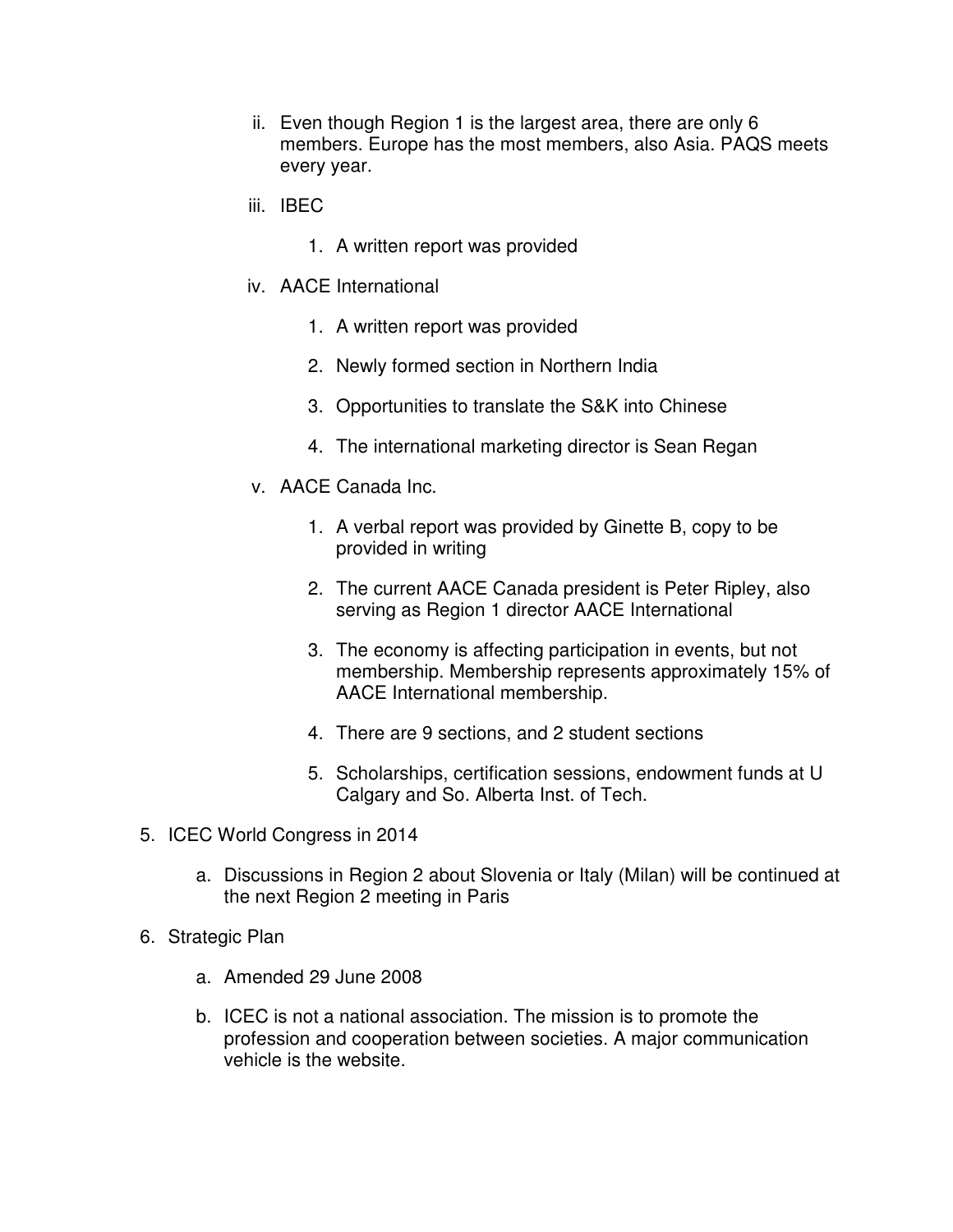- ii. Even though Region 1 is the largest area, there are only 6 members. Europe has the most members, also Asia. PAQS meets every year.
- iii. IBEC
	- 1. A written report was provided
- iv. AACE International
	- 1. A written report was provided
	- 2. Newly formed section in Northern India
	- 3. Opportunities to translate the S&K into Chinese
	- 4. The international marketing director is Sean Regan
- v. AACE Canada Inc.
	- 1. A verbal report was provided by Ginette B, copy to be provided in writing
	- 2. The current AACE Canada president is Peter Ripley, also serving as Region 1 director AACE International
	- 3. The economy is affecting participation in events, but not membership. Membership represents approximately 15% of AACE International membership.
	- 4. There are 9 sections, and 2 student sections
	- 5. Scholarships, certification sessions, endowment funds at U Calgary and So. Alberta Inst. of Tech.
- 5. ICEC World Congress in 2014
	- a. Discussions in Region 2 about Slovenia or Italy (Milan) will be continued at the next Region 2 meeting in Paris
- 6. Strategic Plan
	- a. Amended 29 June 2008
	- b. ICEC is not a national association. The mission is to promote the profession and cooperation between societies. A major communication vehicle is the website.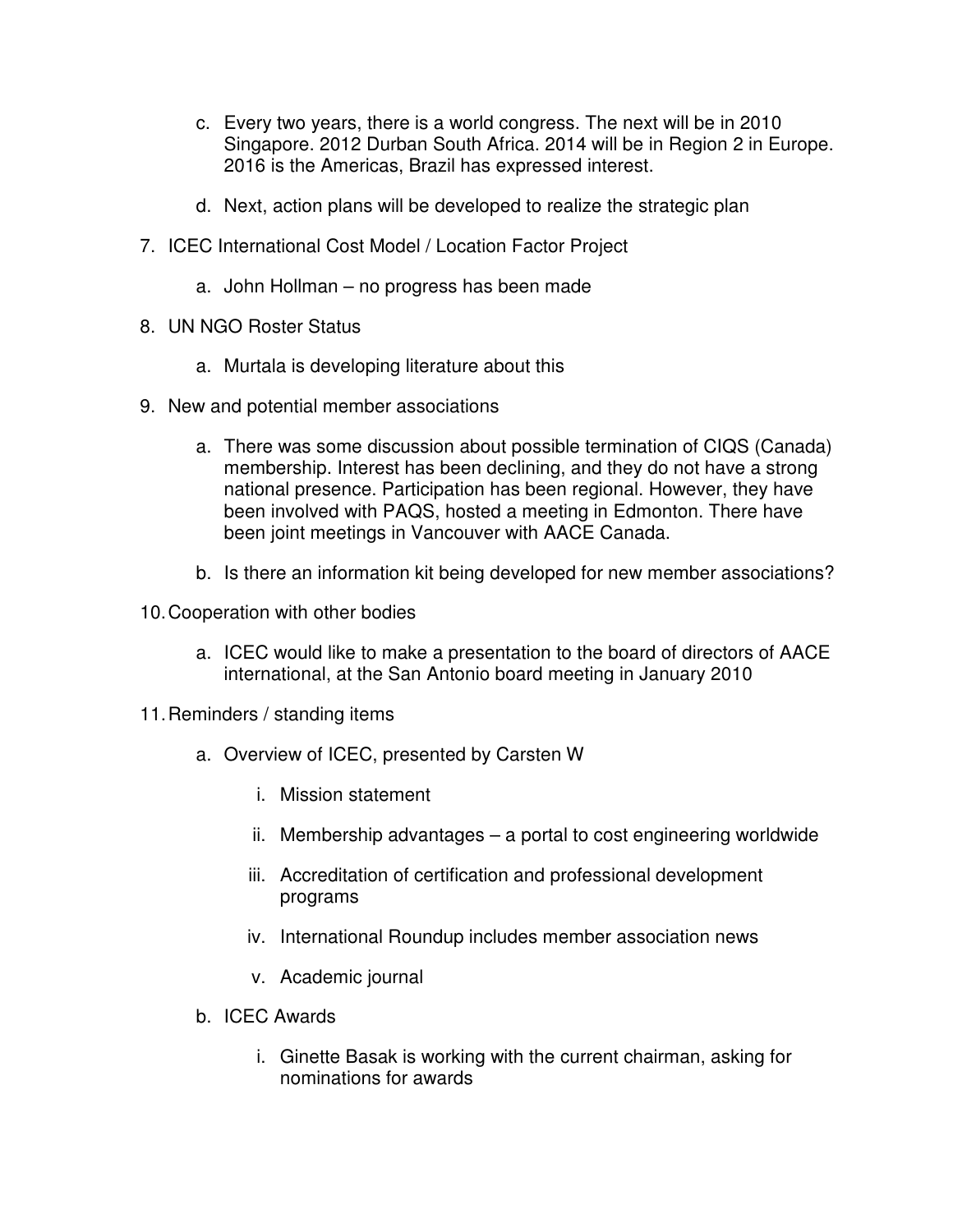- c. Every two years, there is a world congress. The next will be in 2010 Singapore. 2012 Durban South Africa. 2014 will be in Region 2 in Europe. 2016 is the Americas, Brazil has expressed interest.
- d. Next, action plans will be developed to realize the strategic plan
- 7. ICEC International Cost Model / Location Factor Project
	- a. John Hollman no progress has been made
- 8. UN NGO Roster Status
	- a. Murtala is developing literature about this
- 9. New and potential member associations
	- a. There was some discussion about possible termination of CIQS (Canada) membership. Interest has been declining, and they do not have a strong national presence. Participation has been regional. However, they have been involved with PAQS, hosted a meeting in Edmonton. There have been joint meetings in Vancouver with AACE Canada.
	- b. Is there an information kit being developed for new member associations?
- 10. Cooperation with other bodies
	- a. ICEC would like to make a presentation to the board of directors of AACE international, at the San Antonio board meeting in January 2010
- 11. Reminders / standing items
	- a. Overview of ICEC, presented by Carsten W
		- i. Mission statement
		- ii. Membership advantages a portal to cost engineering worldwide
		- iii. Accreditation of certification and professional development programs
		- iv. International Roundup includes member association news
		- v. Academic journal
	- b. ICEC Awards
		- i. Ginette Basak is working with the current chairman, asking for nominations for awards